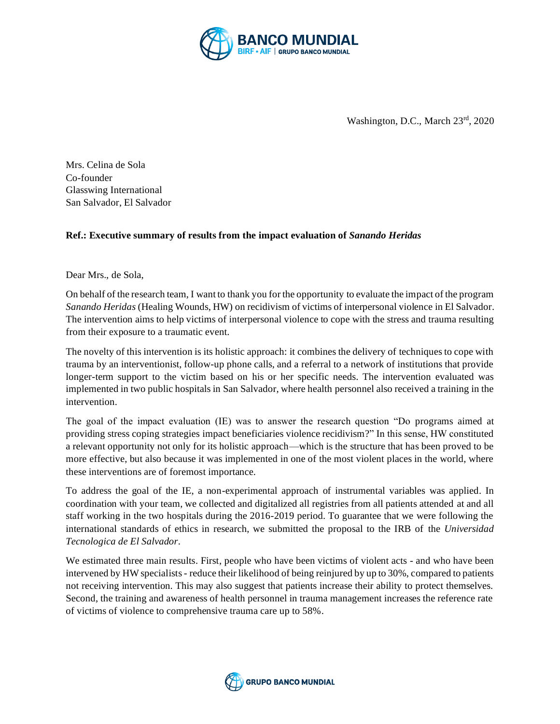

Washington, D.C., March 23rd, 2020

Mrs. Celina de Sola Co-founder Glasswing International San Salvador, El Salvador

## **Ref.: Executive summary of results from the impact evaluation of** *Sanando Heridas*

Dear Mrs., de Sola,

On behalf of the research team, I want to thank you for the opportunity to evaluate the impact of the program *Sanando Heridas* (Healing Wounds, HW) on recidivism of victims of interpersonal violence in El Salvador. The intervention aims to help victims of interpersonal violence to cope with the stress and trauma resulting from their exposure to a traumatic event.

The novelty of this intervention is its holistic approach: it combines the delivery of techniques to cope with trauma by an interventionist, follow-up phone calls, and a referral to a network of institutions that provide longer-term support to the victim based on his or her specific needs. The intervention evaluated was implemented in two public hospitals in San Salvador, where health personnel also received a training in the intervention.

The goal of the impact evaluation (IE) was to answer the research question "Do programs aimed at providing stress coping strategies impact beneficiaries violence recidivism?" In this sense, HW constituted a relevant opportunity not only for its holistic approach—which is the structure that has been proved to be more effective, but also because it was implemented in one of the most violent places in the world, where these interventions are of foremost importance.

To address the goal of the IE, a non-experimental approach of instrumental variables was applied. In coordination with your team, we collected and digitalized all registries from all patients attended at and all staff working in the two hospitals during the 2016-2019 period. To guarantee that we were following the international standards of ethics in research, we submitted the proposal to the IRB of the *Universidad Tecnologica de El Salvador*.

We estimated three main results. First, people who have been victims of violent acts - and who have been intervened by HW specialists - reduce their likelihood of being reinjured by up to 30%, compared to patients not receiving intervention. This may also suggest that patients increase their ability to protect themselves. Second, the training and awareness of health personnel in trauma management increases the reference rate of victims of violence to comprehensive trauma care up to 58%.